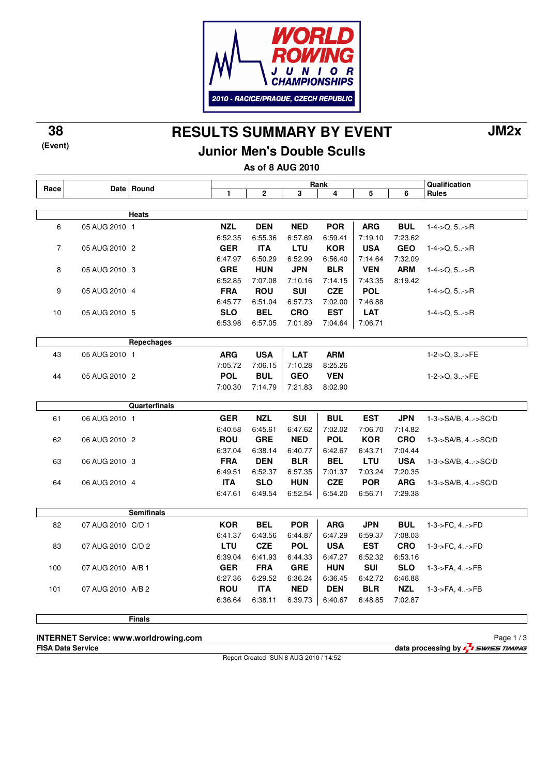

## **RESULTS SUMMARY BY EVENT 38 JM2x**

**Junior Men's Double Sculls**

**As of 8 AUG 2010**

| Race           |                   | Date Round        | Rank       |            |            |            |            | Qualification |                               |
|----------------|-------------------|-------------------|------------|------------|------------|------------|------------|---------------|-------------------------------|
|                |                   | 1                 | 2          | 3          | 4          | 5          | 6          | <b>Rules</b>  |                               |
|                |                   |                   |            |            |            |            |            |               |                               |
|                |                   | Heats             |            |            |            |            |            |               |                               |
| 6              | 05 AUG 2010 1     |                   | <b>NZL</b> | <b>DEN</b> | <b>NED</b> | <b>POR</b> | <b>ARG</b> | <b>BUL</b>    | $1-4$ ->Q, $5$ >R             |
|                |                   |                   | 6:52.35    | 6:55.36    | 6.57.69    | 6:59.41    | 7:19.10    | 7:23.62       |                               |
| $\overline{7}$ | 05 AUG 2010 2     |                   | <b>GER</b> | <b>ITA</b> | LTU        | <b>KOR</b> | <b>USA</b> | <b>GEO</b>    | $1-4$ ->Q, 5->R               |
|                |                   |                   | 6:47.97    | 6:50.29    | 6.52.99    | 6:56.40    | 7:14.64    | 7:32.09       |                               |
| 8              | 05 AUG 2010 3     |                   | <b>GRE</b> | <b>HUN</b> | <b>JPN</b> | <b>BLR</b> | <b>VEN</b> | <b>ARM</b>    | $1-4$ ->Q, 5->R               |
|                |                   |                   | 6:52.85    | 7:07.08    | 7:10.16    | 7:14.15    | 7:43.35    | 8:19.42       |                               |
| 9              | 05 AUG 2010 4     |                   | <b>FRA</b> | <b>ROU</b> | <b>SUI</b> | <b>CZE</b> | <b>POL</b> |               | $1-4->Q, 5.->R$               |
|                |                   |                   | 6:45.77    | 6:51.04    | 6:57.73    | 7:02.00    | 7:46.88    |               |                               |
| 10             | 05 AUG 2010 5     |                   | <b>SLO</b> | <b>BEL</b> | <b>CRO</b> | <b>EST</b> | <b>LAT</b> |               | $1-4$ ->Q, $5$ ->R            |
|                |                   |                   | 6:53.98    | 6:57.05    | 7:01.89    | 7:04.64    | 7:06.71    |               |                               |
|                |                   |                   |            |            |            |            |            |               |                               |
|                |                   | Repechages        |            |            |            |            |            |               |                               |
| 43             | 05 AUG 2010 1     |                   | <b>ARG</b> | <b>USA</b> | <b>LAT</b> | <b>ARM</b> |            |               | $1-2-5Q, 3$ >FE               |
|                |                   |                   | 7:05.72    | 7:06.15    | 7:10.28    | 8:25.26    |            |               |                               |
| 44             | 05 AUG 2010 2     |                   | <b>POL</b> | <b>BUL</b> | <b>GEO</b> | <b>VEN</b> |            |               | $1-2->Q$ , $3>FE$             |
|                |                   |                   | 7:00.30    | 7:14.79    | 7:21.83    | 8:02.90    |            |               |                               |
|                |                   |                   |            |            |            |            |            |               |                               |
|                |                   | Quarterfinals     |            |            |            |            |            |               |                               |
| 61             | 06 AUG 2010 1     |                   | <b>GER</b> | <b>NZL</b> | <b>SUI</b> | <b>BUL</b> | <b>EST</b> | <b>JPN</b>    | 1-3->SA/B, 4->SC/D            |
|                |                   |                   | 6:40.58    | 6:45.61    | 6:47.62    | 7:02.02    | 7:06.70    | 7:14.82       |                               |
| 62             | 06 AUG 2010 2     |                   | <b>ROU</b> | <b>GRE</b> | <b>NED</b> | <b>POL</b> | <b>KOR</b> | <b>CRO</b>    | 1-3->SA/B, 4->SC/D            |
|                |                   |                   | 6:37.04    | 6:38.14    | 6:40.77    | 6:42.67    | 6:43.71    | 7:04.44       |                               |
| 63             | 06 AUG 2010 3     |                   | <b>FRA</b> | <b>DEN</b> | <b>BLR</b> | <b>BEL</b> | <b>LTU</b> | <b>USA</b>    | $1 - 3 - S A/B$ , $4 - S C/D$ |
|                |                   |                   | 6:49.51    | 6:52.37    | 6:57.35    | 7:01.37    | 7:03.24    | 7:20.35       |                               |
| 64             | 06 AUG 2010 4     |                   | <b>ITA</b> | <b>SLO</b> | <b>HUN</b> | <b>CZE</b> | <b>POR</b> | <b>ARG</b>    | $1 - 3 - S A/B$ , 4 $-S C/D$  |
|                |                   |                   | 6:47.61    | 6:49.54    | 6:52.54    | 6:54.20    | 6:56.71    | 7:29.38       |                               |
|                |                   |                   |            |            |            |            |            |               |                               |
|                |                   | <b>Semifinals</b> |            |            |            |            |            |               |                               |
| 82             | 07 AUG 2010 C/D 1 |                   | <b>KOR</b> | <b>BEL</b> | <b>POR</b> | <b>ARG</b> | <b>JPN</b> | <b>BUL</b>    | 1-3->FC, 4->FD                |
|                |                   |                   | 6:41.37    | 6:43.56    | 6:44.87    | 6:47.29    | 6:59.37    | 7:08.03       |                               |
| 83             | 07 AUG 2010 C/D 2 |                   | LTU        | <b>CZE</b> | <b>POL</b> | <b>USA</b> | <b>EST</b> | <b>CRO</b>    | 1-3->FC, 4->FD                |
|                |                   |                   | 6:39.04    | 6:41.93    | 6:44.33    | 6:47.27    | 6:52.32    | 6:53.16       |                               |
| 100            | 07 AUG 2010 A/B 1 |                   | <b>GER</b> | <b>FRA</b> | <b>GRE</b> | <b>HUN</b> | <b>SUI</b> | <b>SLO</b>    | 1-3->FA, 4->FB                |
|                |                   |                   | 6:27.36    | 6:29.52    | 6:36.24    | 6.36.45    | 6:42.72    | 6:46.88       |                               |
| 101            | 07 AUG 2010 A/B 2 |                   | <b>ROU</b> | <b>ITA</b> | <b>NED</b> | DEN        | <b>BLR</b> | <b>NZL</b>    | 1-3->FA, 4->FB                |
|                |                   |                   | 6:36.64    | 6:38.11    | 6:39.73    | 6:40.67    | 6:48.85    | 7:02.87       |                               |
|                |                   |                   |            |            |            |            |            |               |                               |
|                |                   | <b>Finals</b>     |            |            |            |            |            |               |                               |

**INTERNET Service: www.worldrowing.com**

Report Created SUN 8 AUG 2010 / 14:52

**FISA Data Service data processing by**  $\frac{1}{2}$  **SWISS TIMING** Page 1 / 3

**(Event)**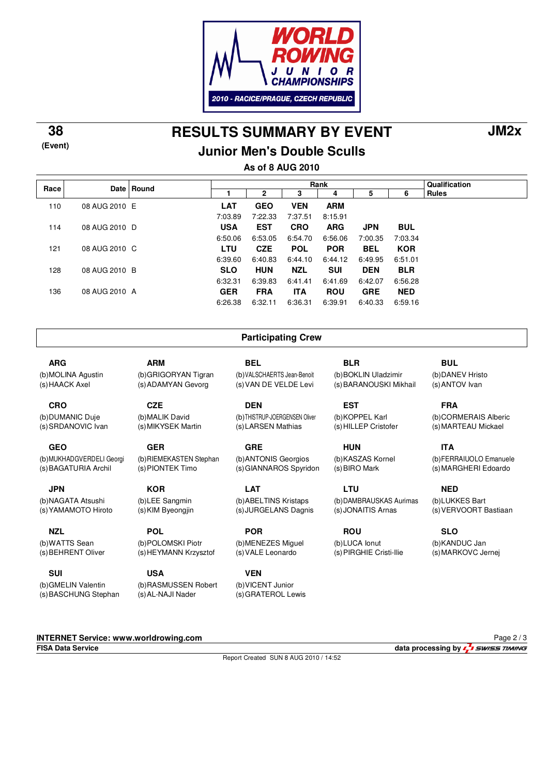

**RESULTS SUMMARY BY EVENT 38 JM2x**

### **Junior Men's Double Sculls**

**As of 8 AUG 2010**

| Rules<br>2<br>6<br>3<br>5<br>4<br><b>VEN</b><br><b>LAT</b><br><b>GEO</b><br><b>ARM</b><br>110<br>08 AUG 2010 E<br>7:03.89<br>7:22.33<br>7:37.51<br>8:15.91<br><b>USA</b><br><b>EST</b><br><b>CRO</b><br><b>ARG</b><br><b>BUL</b><br><b>JPN</b><br>114<br>08 AUG 2010 D<br>6:50.06<br>6:53.05<br>7:00.35<br>7:03.34<br>6:54.70<br>6:56.06<br><b>LTU</b><br><b>BEL</b><br><b>KOR</b><br><b>CZE</b><br><b>POL</b><br><b>POR</b><br>121<br>08 AUG 2010 C<br>6:39.60<br>6:40.83<br>6:44.10<br>6:49.95<br>6:51.01<br>6:44.12<br><b>NZL</b><br><b>SLO</b><br><b>HUN</b><br><b>SUI</b><br>128<br>08 AUG 2010 B<br><b>DEN</b><br><b>BLR</b><br>6:32.31<br>6:39.83<br>6:41.69<br>6:41.41<br>6:42.07<br>6:56.28<br><b>FRA</b><br><b>ITA</b><br><b>NED</b><br><b>GER</b><br><b>ROU</b><br>136<br><b>GRE</b><br>08 AUG 2010 A | Race | Date   Round | Rank |  |  |  |  |  | Qualification |
|------------------------------------------------------------------------------------------------------------------------------------------------------------------------------------------------------------------------------------------------------------------------------------------------------------------------------------------------------------------------------------------------------------------------------------------------------------------------------------------------------------------------------------------------------------------------------------------------------------------------------------------------------------------------------------------------------------------------------------------------------------------------------------------------------------------|------|--------------|------|--|--|--|--|--|---------------|
|                                                                                                                                                                                                                                                                                                                                                                                                                                                                                                                                                                                                                                                                                                                                                                                                                  |      |              |      |  |  |  |  |  |               |
|                                                                                                                                                                                                                                                                                                                                                                                                                                                                                                                                                                                                                                                                                                                                                                                                                  |      |              |      |  |  |  |  |  |               |
|                                                                                                                                                                                                                                                                                                                                                                                                                                                                                                                                                                                                                                                                                                                                                                                                                  |      |              |      |  |  |  |  |  |               |
|                                                                                                                                                                                                                                                                                                                                                                                                                                                                                                                                                                                                                                                                                                                                                                                                                  |      |              |      |  |  |  |  |  |               |
|                                                                                                                                                                                                                                                                                                                                                                                                                                                                                                                                                                                                                                                                                                                                                                                                                  |      |              |      |  |  |  |  |  |               |
|                                                                                                                                                                                                                                                                                                                                                                                                                                                                                                                                                                                                                                                                                                                                                                                                                  |      |              |      |  |  |  |  |  |               |
|                                                                                                                                                                                                                                                                                                                                                                                                                                                                                                                                                                                                                                                                                                                                                                                                                  |      |              |      |  |  |  |  |  |               |
|                                                                                                                                                                                                                                                                                                                                                                                                                                                                                                                                                                                                                                                                                                                                                                                                                  |      |              |      |  |  |  |  |  |               |
|                                                                                                                                                                                                                                                                                                                                                                                                                                                                                                                                                                                                                                                                                                                                                                                                                  |      |              |      |  |  |  |  |  |               |
|                                                                                                                                                                                                                                                                                                                                                                                                                                                                                                                                                                                                                                                                                                                                                                                                                  |      |              |      |  |  |  |  |  |               |
| 6:32.11<br>6:26.38<br>6:36.31<br>6:39.91<br>6:40.33<br>6.59.16                                                                                                                                                                                                                                                                                                                                                                                                                                                                                                                                                                                                                                                                                                                                                   |      |              |      |  |  |  |  |  |               |

#### **Participating Crew**

(b) THISTRUP-JOERGENSEN Oliver (s) LARSEN Mathias

(b) ANTONIS Georgios (s) GIANNAROS Spyridon

(b) ABELTINS Kristaps (s) JURGELANS Dagnis

**BEL**

**DEN**

**GRE**

**LAT**

**POR**

(b) VALSCHAERTS Jean-Benoit (s) VAN DE VELDE Levi **BLR** (b) BOKLIN Uladzimir (s) BARANOUSKI Mikhail

> **EST** (b) KOPPEL Karl (s) HILLEP Cristofer

**HUN** (b) KASZAS Kornel (s) BIRO Mark

**LTU** (b) DAMBRAUSKAS Aurimas (s) JONAITIS Arnas

**ROU** (b) LUCA Ionut (s) PIRGHIE Cristi-Ilie (b) DANEV Hristo (s) ANTOV Ivan

**BUL**

**FRA** (b) CORMERAIS Alberic (s) MARTEAU Mickael

**ITA** (b) FERRAIUOLO Emanuele (s) MARGHERI Edoardo

**NED** (b) LUKKES Bart (s) VERVOORT Bastiaan

**SLO** (b) KANDUC Jan (s) MARKOVC Jernej

**ARG** (b) MOLINA Agustin (s) HAACK Axel

**(Event)**

**CRO**

(b) DUMANIC Duje (s) SRDANOVIC Ivan

**GEO**

(b) MUKHADGVERDELI Georgi (s) BAGATURIA Archil

**JPN** (b) NAGATA Atsushi (s) YAMAMOTO Hiroto

**NZL** (b) WATTS Sean (s) BEHRENT Oliver

**SUI** (b) GMELIN Valentin (s) BASCHUNG Stephan

**KOR** (b) LEE Sangmin (s) KIM Byeongjin

(b) RIEMEKASTEN Stephan

**ARM**

**CZE** (b) MALIK David (s) MIKYSEK Martin

**GER**

(b) GRIGORYAN Tigran (s) ADAMYAN Gevorg

**POL** (b) POLOMSKI Piotr (s) HEYMANN Krzysztof

**USA** (b) RASMUSSEN Robert (s) AL-NAJI Nader

**VEN** (b) VICENT Junior

(b) MENEZES Miguel (s) VALE Leonardo

(s) GRATEROL Lewis

**FISA Data Service data processing by**  $\frac{1}{4}$  **swiss TIMING** Page 2 / 3

Report Created SUN 8 AUG 2010 / 14:52

(s) PIONTEK Timo

**INTERNET Service: www.worldrowing.com**